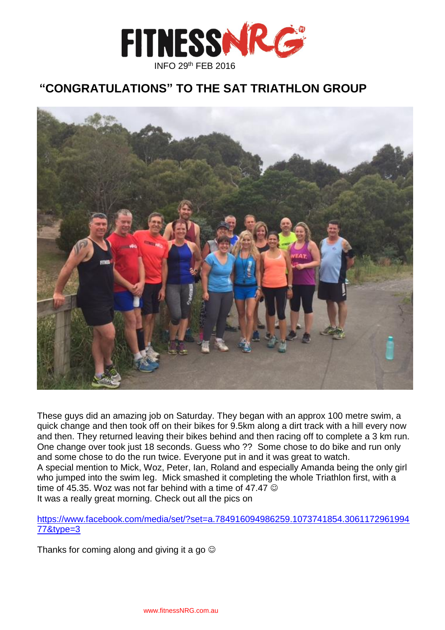

# **"CONGRATULATIONS" TO THE SAT TRIATHLON GROUP**



These guys did an amazing job on Saturday. They began with an approx 100 metre swim, a quick change and then took off on their bikes for 9.5km along a dirt track with a hill every now and then. They returned leaving their bikes behind and then racing off to complete a 3 km run. One change over took just 18 seconds. Guess who ?? Some chose to do bike and run only and some chose to do the run twice. Everyone put in and it was great to watch. A special mention to Mick, Woz, Peter, Ian, Roland and especially Amanda being the only girl who jumped into the swim leg. Mick smashed it completing the whole Triathlon first, with a time of 45.35. Woz was not far behind with a time of 47.47  $\odot$ It was a really great morning. Check out all the pics on

### [https://www.facebook.com/media/set/?set=a.784916094986259.1073741854.3061172961994](https://www.facebook.com/media/set/?set=a.784916094986259.1073741854.306117296199477&type=3) [77&type=3](https://www.facebook.com/media/set/?set=a.784916094986259.1073741854.306117296199477&type=3)

Thanks for coming along and giving it a go  $\odot$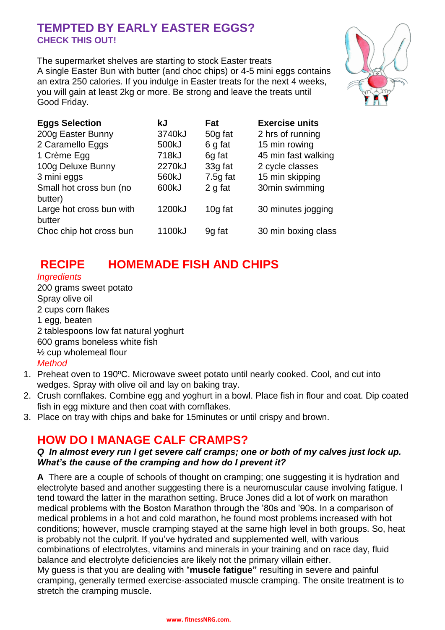## **TEMPTED BY EARLY EASTER EGGS? CHECK THIS OUT!**

The supermarket shelves are starting to stock Easter treats A single Easter Bun with butter (and choc chips) or 4-5 mini eggs contains an extra 250 calories. If you indulge in Easter treats for the next 4 weeks, you will gain at least 2kg or more. Be strong and leave the treats until Good Friday.



| <b>Eggs Selection</b>              | kJ     | Fat        | <b>Exercise units</b> |
|------------------------------------|--------|------------|-----------------------|
| 200g Easter Bunny                  | 3740kJ | 50g fat    | 2 hrs of running      |
| 2 Caramello Eggs                   | 500kJ  | 6 g fat    | 15 min rowing         |
| 1 Crème Egg                        | 718kJ  | 6g fat     | 45 min fast walking   |
| 100g Deluxe Bunny                  | 2270kJ | 33g fat    | 2 cycle classes       |
| 3 mini eggs                        | 560kJ  | $7.5g$ fat | 15 min skipping       |
| Small hot cross bun (no<br>butter) | 600kJ  | 2 g fat    | 30min swimming        |
| Large hot cross bun with<br>butter | 1200kJ | 10g fat    | 30 minutes jogging    |
| Choc chip hot cross bun            | 1100kJ | 9g fat     | 30 min boxing class   |

# **RECIPE HOMEMADE FISH AND CHIPS**

### *Ingredients*

200 grams sweet potato Spray olive oil 2 cups corn flakes 1 egg, beaten 2 tablespoons low fat natural yoghurt 600 grams boneless white fish ½ cup wholemeal flour *Method*

- 1. Preheat oven to 190ºC. Microwave sweet potato until nearly cooked. Cool, and cut into wedges. Spray with olive oil and lay on baking tray.
- 2. Crush cornflakes. Combine egg and yoghurt in a bowl. Place fish in flour and coat. Dip coated fish in egg mixture and then coat with cornflakes.
- 3. Place on tray with chips and bake for 15minutes or until crispy and brown.

# **HOW DO I MANAGE CALF CRAMPS?**

### *Q In almost every run I get severe calf cramps; one or both of my calves just lock up. What's the cause of the cramping and how do I prevent it?*

**A** There are a couple of schools of thought on cramping; one suggesting it is hydration and electrolyte based and another suggesting there is a neuromuscular cause involving fatigue. I tend toward the latter in the marathon setting. Bruce Jones did a lot of work on marathon medical problems with the Boston Marathon through the '80s and '90s. In a comparison of medical problems in a hot and cold marathon, he found most problems increased with hot conditions; however, muscle cramping stayed at the same high level in both groups. So, heat is probably not the culprit. If you've hydrated and supplemented well, with various combinations of electrolytes, vitamins and minerals in your training and on race day, fluid balance and electrolyte deficiencies are likely not the primary villain either.

My guess is that you are dealing with "**muscle fatigue"** resulting in severe and painful cramping, generally termed exercise-associated muscle cramping. The onsite treatment is to stretch the cramping muscle.